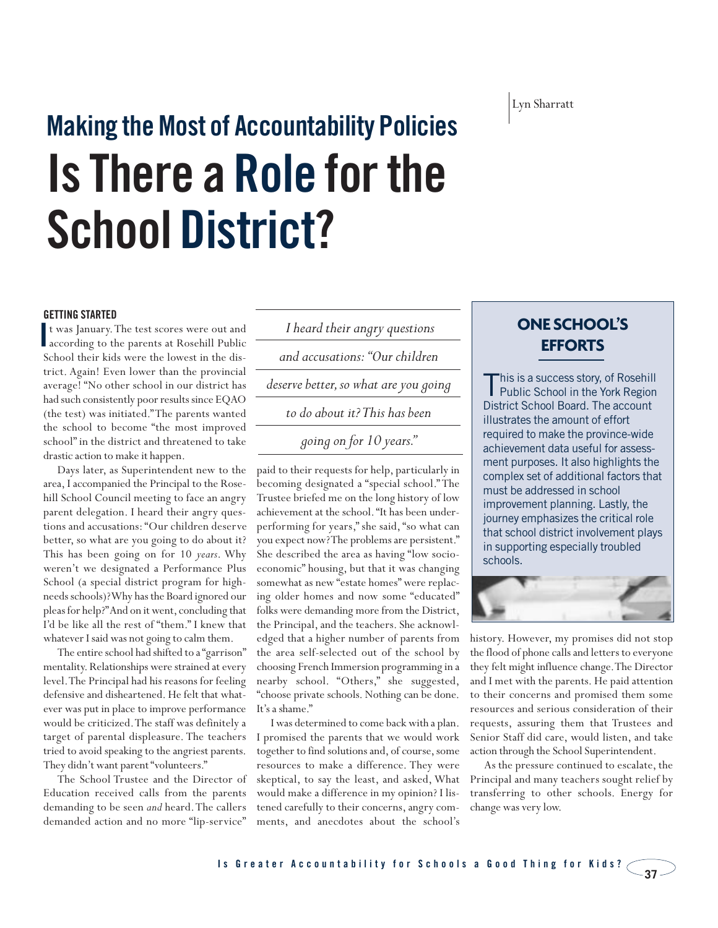Lyn Sharratt

# **Making the Most of Accountability Policies Is There a Role for the School District?**

#### **GETTING STARTED**

t was January.The test scores were out and **I** twas January. The test scores were out and **I** heard their angry questions **ONE SCHOOL'S** according to the parents at Rosehill Public School their kids were the lowest in the district. Again! Even lower than the provincial average! "No other school in our district has had such consistently poor results since EQAO (the test) was initiated."The parents wanted the school to become "the most improved school" in the district and threatened to take drastic action to make it happen.

Days later, as Superintendent new to the area, I accompanied the Principal to the Rosehill School Council meeting to face an angry parent delegation. I heard their angry questions and accusations: "Our children deserve better, so what are you going to do about it? This has been going on for 10 *years*. Why weren't we designated a Performance Plus School (a special district program for highneeds schools)? Why has the Board ignored our pleas for help?"And on it went, concluding that I'd be like all the rest of "them." I knew that whatever I said was not going to calm them.

The entire school had shifted to a "garrison" mentality. Relationships were strained at every level.The Principal had his reasons for feeling defensive and disheartened. He felt that whatever was put in place to improve performance would be criticized.The staff was definitely a target of parental displeasure. The teachers tried to avoid speaking to the angriest parents. They didn't want parent "volunteers."

The School Trustee and the Director of Education received calls from the parents demanding to be seen *and* heard.The callers demanded action and no more "lip-service"

*I heard their angry questions*

*and accusations: "Our children* 

*deserve better,so what are you going* 

*to do about it? This has been* 

*going on for 10 years."*

paid to their requests for help, particularly in becoming designated a "special school." The Trustee briefed me on the long history of low achievement at the school. "It has been underperforming for years," she said, "so what can you expect now? The problems are persistent." She described the area as having "low socioeconomic" housing, but that it was changing somewhat as new "estate homes" were replacing older homes and now some "educated" folks were demanding more from the District, the Principal, and the teachers. She acknowledged that a higher number of parents from the area self-selected out of the school by choosing French Immersion programming in a nearby school. "Others," she suggested, "choose private schools. Nothing can be done. It's a shame."

I was determined to come back with a plan. I promised the parents that we would work together to find solutions and, of course, some resources to make a difference. They were skeptical, to say the least, and asked, What would make a difference in my opinion? I listened carefully to their concerns, angry comments, and anecdotes about the school's

## **EFFORTS**

This is a success story, of Rosehill<br>Public School in the York Region District School Board. The account illustrates the amount of effort required to make the province-wide achievement data useful for assessment purposes. It also highlights the complex set of additional factors that must be addressed in school improvement planning. Lastly, the journey emphasizes the critical role that school district involvement plays in supporting especially troubled schools.



history. However, my promises did not stop the flood of phone calls and letters to everyone they felt might influence change.The Director and I met with the parents. He paid attention to their concerns and promised them some resources and serious consideration of their requests, assuring them that Trustees and Senior Staff did care, would listen, and take action through the School Superintendent.

As the pressure continued to escalate, the Principal and many teachers sought relief by transferring to other schools. Energy for change was very low.

 $-37 -$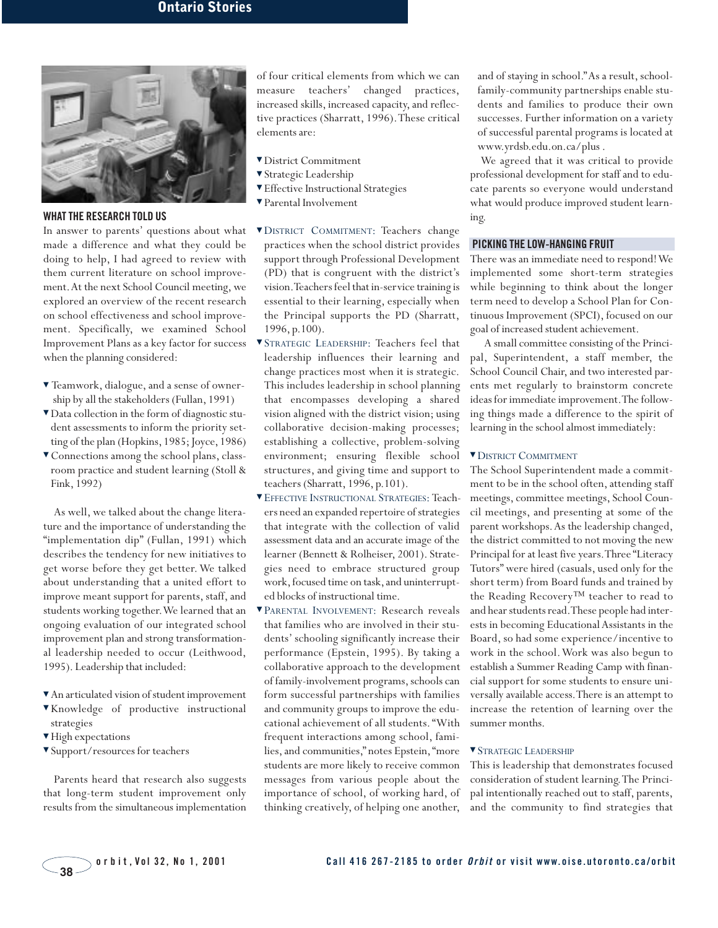

#### **WHAT THE RESEARCH TOLD US**

In answer to parents' questions about what made a difference and what they could be doing to help, I had agreed to review with them current literature on school improvement.At the next School Council meeting, we explored an overview of the recent research on school effectiveness and school improvement. Specifically, we examined School Improvement Plans as a key factor for success when the planning considered:

- ▼ Teamwork, dialogue, and a sense of ownership by all the stakeholders (Fullan, 1991)
- ▼ Data collection in the form of diagnostic student assessments to inform the priority setting of the plan (Hopkins, 1985; Joyce, 1986)
- ▼ Connections among the school plans, classroom practice and student learning (Stoll & Fink, 1992)

As well, we talked about the change literature and the importance of understanding the "implementation dip" (Fullan, 1991) which describes the tendency for new initiatives to get worse before they get better. We talked about understanding that a united effort to improve meant support for parents, staff, and students working together.We learned that an ongoing evaluation of our integrated school improvement plan and strong transformational leadership needed to occur (Leithwood, 1995). Leadership that included:

- ▼ An articulated vision of student improvement
- ▼ Knowledge of productive instructional strategies
- ▼ High expectations
- ▼ Support/resources for teachers

Parents heard that research also suggests that long-term student improvement only results from the simultaneous implementation

of four critical elements from which we can measure teachers' changed practices, increased skills, increased capacity, and reflective practices (Sharratt, 1996).These critical elements are:

- ▼ District Commitment
- ▼ Strategic Leadership
- ▼ Effective Instructional Strategies
- ▼ Parental Involvement
- ▼ DISTRICT COMMITMENT: Teachers change practices when the school district provides support through Professional Development (PD) that is congruent with the district's vision.Teachers feel that in-service training is essential to their learning, especially when the Principal supports the PD (Sharratt, 1996, p.100).
- ▼ STRATEGIC LEADERSHIP: Teachers feel that leadership influences their learning and change practices most when it is strategic. This includes leadership in school planning that encompasses developing a shared vision aligned with the district vision; using collaborative decision-making processes; establishing a collective, problem-solving environment; ensuring flexible school structures, and giving time and support to teachers (Sharratt, 1996, p.101).
- ▼ EFFECTIVE INSTRUCTIONAL STRATEGIES: Teachers need an expanded repertoire of strategies that integrate with the collection of valid assessment data and an accurate image of the learner (Bennett & Rolheiser, 2001). Strategies need to embrace structured group work, focused time on task, and uninterrupted blocks of instructional time.
- ▼ PARENTAL INVOLVEMENT: Research reveals that families who are involved in their students' schooling significantly increase their performance (Epstein, 1995). By taking a collaborative approach to the development of family-involvement programs, schools can form successful partnerships with families and community groups to improve the educational achievement of all students. "With frequent interactions among school, families, and communities," notes Epstein, "more students are more likely to receive common messages from various people about the importance of school, of working hard, of thinking creatively, of helping one another,

and of staying in school."As a result, schoolfamily-community partnerships enable students and families to produce their own successes. Further information on a variety of successful parental programs is located at www.yrdsb.edu.on.ca/plus .

We agreed that it was critical to provide professional development for staff and to educate parents so everyone would understand what would produce improved student learning.

#### **PICKING THE LOW-HANGING FRUIT**

There was an immediate need to respond! We implemented some short-term strategies while beginning to think about the longer term need to develop a School Plan for Continuous Improvement (SPCI), focused on our goal of increased student achievement.

A small committee consisting of the Principal, Superintendent, a staff member, the School Council Chair, and two interested parents met regularly to brainstorm concrete ideas for immediate improvement.The following things made a difference to the spirit of learning in the school almost immediately:

#### ▼ DISTRICT COMMITMENT

The School Superintendent made a commitment to be in the school often, attending staff meetings, committee meetings, School Council meetings, and presenting at some of the parent workshops.As the leadership changed, the district committed to not moving the new Principal for at least five years.Three "Literacy Tutors" were hired (casuals, used only for the short term) from Board funds and trained by the Reading Recovery™ teacher to read to and hear students read.These people had interests in becoming Educational Assistants in the Board, so had some experience/incentive to work in the school.Work was also begun to establish a Summer Reading Camp with financial support for some students to ensure universally available access.There is an attempt to increase the retention of learning over the summer months.

#### ▼ STRATEGIC LEADERSHIP

This is leadership that demonstrates focused consideration of student learning.The Principal intentionally reached out to staff, parents, and the community to find strategies that

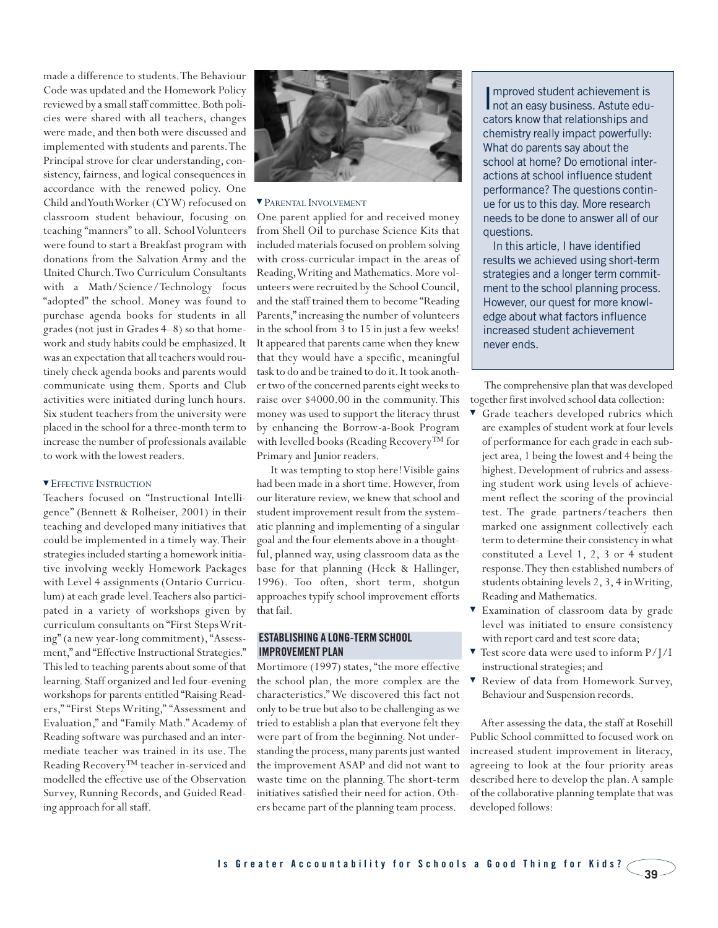made a difference to students.The Behaviour Code was updated and the Homework Policy reviewed by a small staff committee. Both policies were shared with all teachers, changes were made, and then both were discussed and implemented with students and parents.The Principal strove for clear understanding, consistency, fairness, and logical consequences in accordance with the renewed policy. One Child and Youth Worker (CYW) refocused on classroom student behaviour, focusing on teaching "manners" to all. School Volunteers were found to start a Breakfast program with donations from the Salvation Army and the United Church.Two Curriculum Consultants with a Math/Science/Technology focus "adopted" the school. Money was found to purchase agenda books for students in all grades (not just in Grades 4–8) so that homework and study habits could be emphasized. It was an expectation that all teachers would routinely check agenda books and parents would communicate using them. Sports and Club activities were initiated during lunch hours. Six student teachers from the university were placed in the school for a three-month term to increase the number of professionals available to work with the lowest readers.

#### ▼ EFFECTIVE INSTRUCTION

Teachers focused on "Instructional Intelligence" (Bennett & Rolheiser, 2001) in their teaching and developed many initiatives that could be implemented in a timely way.Their strategies included starting a homework initiative involving weekly Homework Packages with Level 4 assignments (Ontario Curriculum) at each grade level.Teachers also participated in a variety of workshops given by curriculum consultants on "First Steps Writing" (a new year-long commitment), "Assessment," and "Effective Instructional Strategies." This led to teaching parents about some of that learning. Staff organized and led four-evening workshops for parents entitled "Raising Readers," "First Steps Writing," "Assessment and Evaluation," and "Family Math." Academy of Reading software was purchased and an intermediate teacher was trained in its use. The Reading Recovery™ teacher in-serviced and modelled the effective use of the Observation Survey, Running Records, and Guided Reading approach for all staff.



#### ▼ PARENTAL INVOLVEMENT

One parent applied for and received money from Shell Oil to purchase Science Kits that included materials focused on problem solving with cross-curricular impact in the areas of Reading,Writing and Mathematics. More volunteers were recruited by the School Council, and the staff trained them to become "Reading Parents," increasing the number of volunteers in the school from 3 to 15 in just a few weeks! It appeared that parents came when they knew that they would have a specific, meaningful task to do and be trained to do it. It took another two of the concerned parents eight weeks to raise over \$4000.00 in the community. This money was used to support the literacy thrust by enhancing the Borrow-a-Book Program with levelled books (Reading Recovery™ for Primary and Junior readers.

It was tempting to stop here! Visible gains had been made in a short time. However, from our literature review, we knew that school and student improvement result from the systematic planning and implementing of a singular goal and the four elements above in a thoughtful, planned way, using classroom data as the base for that planning (Heck & Hallinger, 1996). Too often, short term, shotgun approaches typify school improvement efforts that fail.

#### **ESTABLISHING A LONG-TERM SCHOOL IMPROVEMENT PLAN**

Mortimore (1997) states, "the more effective the school plan, the more complex are the characteristics." We discovered this fact not only to be true but also to be challenging as we tried to establish a plan that everyone felt they were part of from the beginning. Not understanding the process, many parents just wanted the improvement ASAP and did not want to waste time on the planning. The short-term initiatives satisfied their need for action. Others became part of the planning team process.

Improved student achievement is<br>not an easy business. Astute edumproved student achievement is cators know that relationships and chemistry really impact powerfully: What do parents say about the school at home? Do emotional interactions at school influence student performance? The questions continue for us to this day. More research needs to be done to answer all of our questions.

In this article, I have identified results we achieved using short-term strategies and a longer term commitment to the school planning process. However, our quest for more knowledge about what factors influence increased student achievement never ends.

The comprehensive plan that was developed together first involved school data collection:

- Grade teachers developed rubrics which are examples of student work at four levels of performance for each grade in each subject area, 1 being the lowest and 4 being the highest. Development of rubrics and assessing student work using levels of achievement reflect the scoring of the provincial test. The grade partners/teachers then marked one assignment collectively each term to determine their consistency in what constituted a Level 1, 2, 3 or 4 student response.They then established numbers of students obtaining levels 2, 3, 4 in Writing, Reading and Mathematics.
- ▼ Examination of classroom data by grade level was initiated to ensure consistency with report card and test score data;
- ▼ Test score data were used to inform P/J/I instructional strategies; and
- Review of data from Homework Survey, Behaviour and Suspension records.

After assessing the data, the staff at Rosehill Public School committed to focused work on increased student improvement in literacy, agreeing to look at the four priority areas described here to develop the plan. A sample of the collaborative planning template that was developed follows: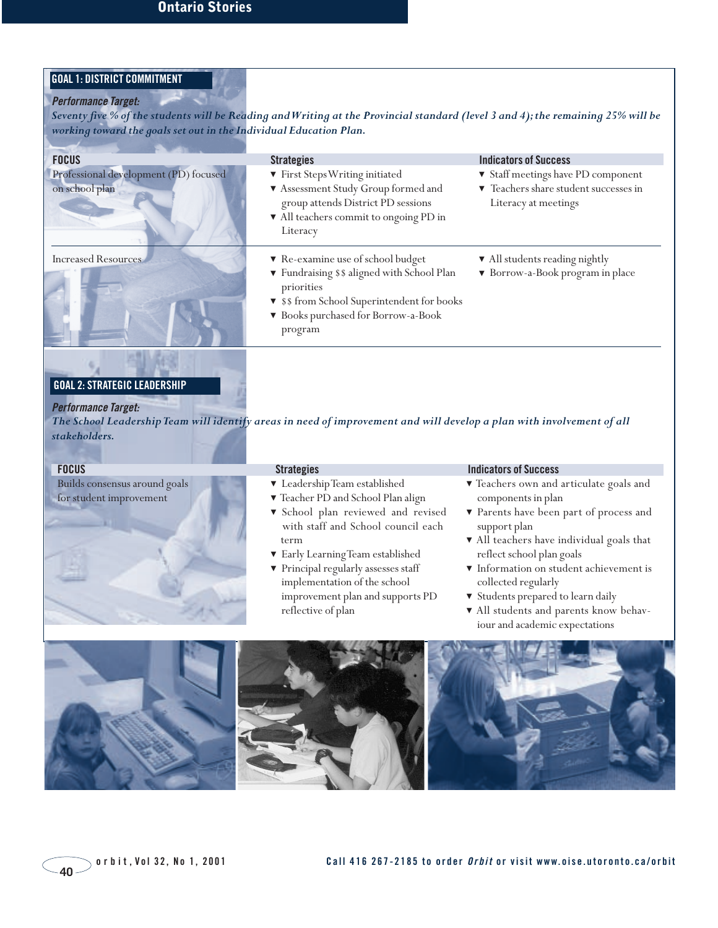### **GOAL 1: DISTRICT COMMITMENT**

#### **Performance Target:**

*Seventy five % of the students will be Reading and Writing at the Provincial standard (level 3 and 4);the remaining 25% will be working toward the goals set out in the Individual Education Plan.*

| <b>FOCUS</b>                                            | <b>Strategies</b>                                                                                                                                                                              | <b>Indicators of Success</b>                                                                      |
|---------------------------------------------------------|------------------------------------------------------------------------------------------------------------------------------------------------------------------------------------------------|---------------------------------------------------------------------------------------------------|
| Professional development (PD) focused<br>on school plan | ▼ First Steps Writing initiated<br>Assessment Study Group formed and<br>group attends District PD sessions<br>$\blacktriangledown$ All teachers commit to ongoing PD in<br>Literacy            | ▼ Staff meetings have PD component<br>Teachers share student successes in<br>Literacy at meetings |
| <b>Increased Resources</b>                              | Re-examine use of school budget<br>▼ Fundraising \$ \$ aligned with School Plan<br>priorities<br>▼ \$\$ from School Superintendent for books<br>▼ Books purchased for Borrow-a-Book<br>program | • All students reading nightly<br>▼ Borrow-a-Book program in place                                |
|                                                         |                                                                                                                                                                                                |                                                                                                   |

#### **GOAL 2: STRATEGIC LEADERSHIP**

**Performance Target:** *The School Leadership Team will identify areas in need of improvement and will develop a plan with involvement of all stakeholders.*

Builds consensus around goals for student improvement

- ▼ Leadership Team established
- ▼ Teacher PD and School Plan align
- ▼ School plan reviewed and revised with staff and School council each term
- ▼ Early Learning Team established
- ▼ Principal regularly assesses staff implementation of the school improvement plan and supports PD reflective of plan

#### **FOCUS** Strategies **Strategies Strategies Indicators of Success**

- ▼ Teachers own and articulate goals and components in plan
- ▼ Parents have been part of process and support plan
- ▼ All teachers have individual goals that reflect school plan goals
- ▼ Information on student achievement is collected regularly
- ▼ Students prepared to learn daily
- ▼ All students and parents know behaviour and academic expectations

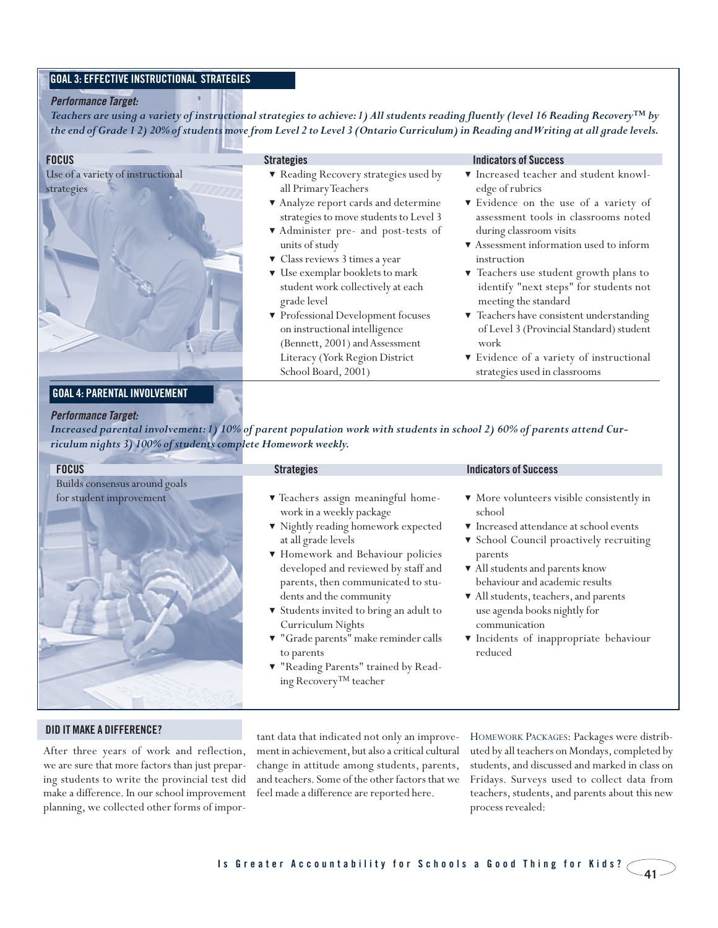#### **GOAL 3: EFFECTIVE INSTRUCTIONAL STRATEGIES**

#### **Performance Target:**

*Teachers are using a variety of instructional strategies to achieve:1) All students reading fluently (level 16 Reading Recovery™ by the end of Grade 1 2) 20% of students move from Level 2 to Level 3 (Ontario Curriculum) in Reading and Writing at all grade levels.*

| <b>FOCUS</b>                                    | <b>Strategies</b>                                                                                                         | <b>Indicators of Success</b>                                                                               |
|-------------------------------------------------|---------------------------------------------------------------------------------------------------------------------------|------------------------------------------------------------------------------------------------------------|
| Use of a variety of instructional<br>strategies | Reading Recovery strategies used by<br>all Primary Teachers<br>Analyze report cards and determine                         | ▼ Increased teacher and student knowl-<br>edge of rubrics<br>▼ Evidence on the use of a variety of         |
|                                                 | strategies to move students to Level 3<br>▼ Administer pre- and post-tests of<br>units of study                           | assessment tools in classrooms noted<br>during classroom visits<br>▼ Assessment information used to inform |
|                                                 | ▼ Class reviews 3 times a year<br>$\blacktriangledown$ Use exemplar booklets to mark<br>student work collectively at each | instruction<br>▼ Teachers use student growth plans to<br>identify "next steps" for students not            |
|                                                 | grade level<br>▼ Professional Development focuses                                                                         | meeting the standard<br>Teachers have consistent understanding                                             |
|                                                 | on instructional intelligence<br>(Bennett, 2001) and Assessment<br>Literacy (York Region District                         | of Level 3 (Provincial Standard) student<br>work<br>▼ Evidence of a variety of instructional               |
|                                                 | School Board, 2001)                                                                                                       | strategies used in classrooms                                                                              |

#### **GOAL 4: PARENTAL INVOLVEMENT**

#### **Performance Target:**

*Increased parental involvement:1) 10% of parent population work with students in school 2) 60% of parents attend Curriculum nights 3) 100% of students complete Homework weekly.*

| <b>FOCUS</b>                                             | <b>Strategies</b>                                                                                                                                                                                                                              | <b>Indicators of Success</b>                                                                                                                                                                                            |
|----------------------------------------------------------|------------------------------------------------------------------------------------------------------------------------------------------------------------------------------------------------------------------------------------------------|-------------------------------------------------------------------------------------------------------------------------------------------------------------------------------------------------------------------------|
| Builds consensus around goals<br>for student improvement | ▼ Teachers assign meaningful home-<br>work in a weekly package<br>▼ Nightly reading homework expected<br>at all grade levels<br>▼ Homework and Behaviour policies<br>developed and reviewed by staff and<br>parents, then communicated to stu- | • More volunteers visible consistently in<br>school<br>▼ Increased attendance at school events<br>▼ School Council proactively recruiting<br>parents<br>All students and parents know<br>behaviour and academic results |
|                                                          | dents and the community<br>▼ Students invited to bring an adult to<br>Curriculum Nights<br>▼ "Grade parents" make reminder calls<br>to parents<br>▼ "Reading Parents" trained by Read-<br>ing Recovery <sup>TM</sup> teacher                   | All students, teachers, and parents<br>use agenda books nightly for<br>communication<br><i>v</i> Incidents of inappropriate behaviour<br>reduced                                                                        |

#### **DID IT MAKE A DIFFERENCE?**

After three years of work and reflection, we are sure that more factors than just preparing students to write the provincial test did make a difference. In our school improvement planning, we collected other forms of important data that indicated not only an improvement in achievement, but also a critical cultural change in attitude among students, parents, and teachers. Some of the other factors that we feel made a difference are reported here.

HOMEWORK PACKAGES: Packages were distributed by all teachers on Mondays, completed by students, and discussed and marked in class on Fridays. Surveys used to collect data from teachers, students, and parents about this new process revealed: